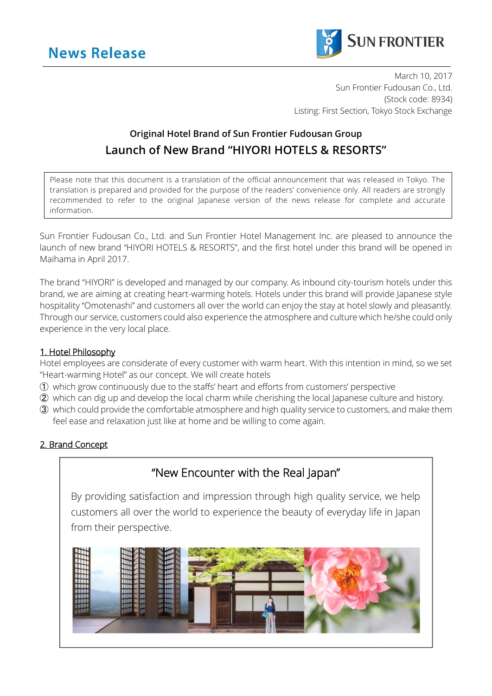

March 10, 2017 Sun Frontier Fudousan Co., Ltd. (Stock code: 8934) Listing: First Section, Tokyo Stock Exchange

# **Original Hotel Brand of Sun Frontier Fudousan Group Launch of New Brand "HIYORI HOTELS & RESORTS"**

Please note that this document is a translation of the official announcement that was released in Tokyo. The translation is prepared and provided for the purpose of the readers' convenience only. All readers are strongly recommended to refer to the original Japanese version of the news release for complete and accurate information.

Sun Frontier Fudousan Co., Ltd. and Sun Frontier Hotel Management Inc. are pleased to announce the launch of new brand "HIYORI HOTELS & RESORTS", and the first hotel under this brand will be opened in Maihama in April 2017.

The brand "HIYORI" is developed and managed by our company. As inbound city-tourism hotels under this brand, we are aiming at creating heart-warming hotels. Hotels under this brand will provide Japanese style hospitality "Omotenashi" and customers all over the world can enjoy the stay at hotel slowly and pleasantly. Through our service, customers could also experience the atmosphere and culture which he/she could only experience in the very local place.

## 1. Hotel Philosophy

Hotel employees are considerate of every customer with warm heart. With this intention in mind, so we set "Heart-warming Hotel" as our concept. We will create hotels

- ① which grow continuously due to the staffs' heart and efforts from customers' perspective
- ② which can dig up and develop the local charm while cherishing the local Japanese culture and history.
- ③ which could provide the comfortable atmosphere and high quality service to customers, and make them feel ease and relaxation just like at home and be willing to come again.

## 2. Brand Concept

# "New Encounter with the Real Japan"

By providing satisfaction and impression through high quality service, we help customers all over the world to experience the beauty of everyday life in Japan from their perspective.

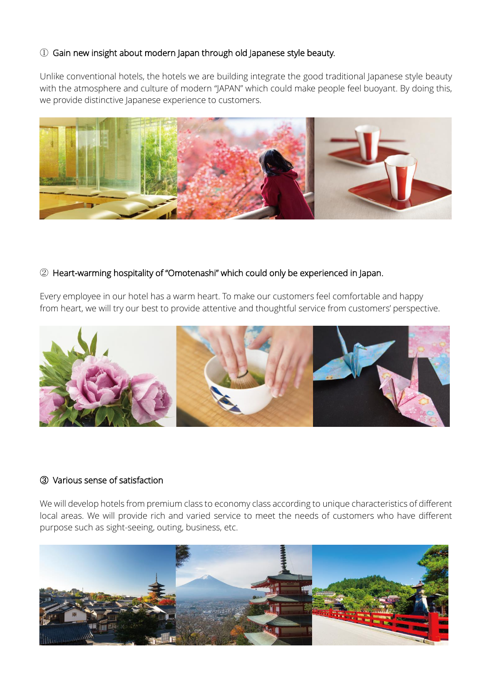## ① Gain new insight about modern Japan through old Japanese style beauty.

Unlike conventional hotels, the hotels we are building integrate the good traditional Japanese style beauty with the atmosphere and culture of modern "JAPAN" which could make people feel buoyant. By doing this, we provide distinctive Japanese experience to customers.



## ② Heart-warming hospitality of "Omotenashi" which could only be experienced in Japan.

Every employee in our hotel has a warm heart. To make our customers feel comfortable and happy from heart, we will try our best to provide attentive and thoughtful service from customers' perspective.



#### ③ Various sense of satisfaction

We will develop hotels from premium class to economy class according to unique characteristics of different local areas. We will provide rich and varied service to meet the needs of customers who have different purpose such as sight-seeing, outing, business, etc.

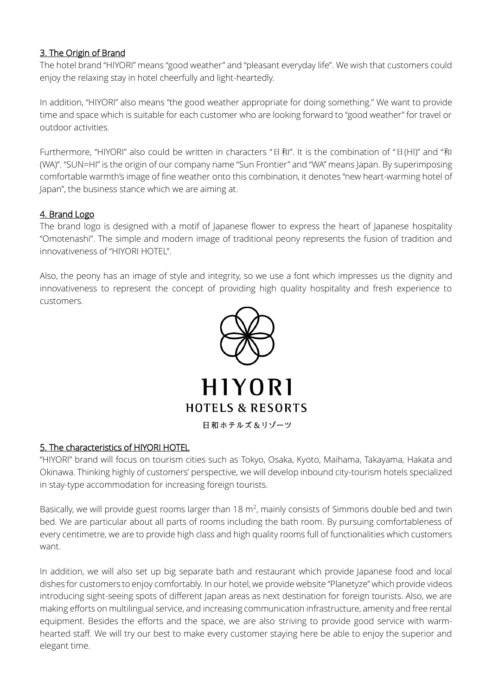## 3. The Origin of Brand

The hotel brand "HIYORI" means "good weather" and "pleasant everyday life". We wish that customers could enjoy the relaxing stay in hotel cheerfully and light-heartedly.

In addition, "HIYORI" also means "the good weather appropriate for doing something." We want to provide time and space which is suitable for each customer who are looking forward to "good weather" for travel or outdoor activities.

Furthermore, "HIYORI" also could be written in characters "日和". It is the combination of "日(HI)" and "和 (WA)". "SUN=HI" is the origin of our company name "Sun Frontier" and "WA" means Japan. By superimposing comfortable warmth's image of fine weather onto this combination, it denotes "new heart-warming hotel of Japan", the business stance which we are aiming at.

## 4. Brand Logo

The brand logo is designed with a motif of Japanese flower to express the heart of Japanese hospitality "Omotenashi". The simple and modern image of traditional peony represents the fusion of tradition and innovativeness of "HIYORI HOTEL".

Also, the peony has an image of style and integrity, so we use a font which impresses us the dignity and innovativeness to represent the concept of providing high quality hospitality and fresh experience to customers.



## 5. The characteristics of HIYORI HOTEL

"HIYORI" brand will focus on tourism cities such as Tokyo, Osaka, Kyoto, Maihama, Takayama, Hakata and Okinawa. Thinking highly of customers' perspective, we will develop inbound city-tourism hotels specialized in stay-type accommodation for increasing foreign tourists.

Basically, we will provide guest rooms larger than 18  $m<sup>2</sup>$ , mainly consists of Simmons double bed and twin bed. We are particular about all parts of rooms including the bath room. By pursuing comfortableness of every centimetre, we are to provide high class and high quality rooms full of functionalities which customers want.

In addition, we will also set up big separate bath and restaurant which provide Japanese food and local dishes for customers to enjoy comfortably. In our hotel, we provide website "Planetyze" which provide videos introducing sight-seeing spots of different Japan areas as next destination for foreign tourists. Also, we are making efforts on multilingual service, and increasing communication infrastructure, amenity and free rental equipment. Besides the efforts and the space, we are also striving to provide good service with warmhearted staff. We will try our best to make every customer staying here be able to enjoy the superior and elegant time.